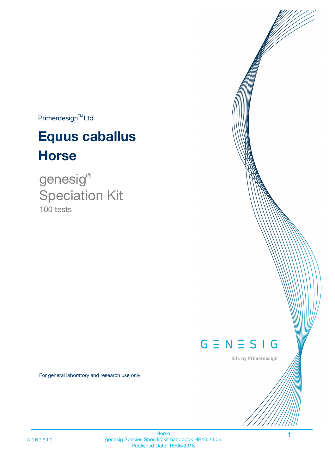$Primerdesign^{TM}$ Ltd

# **Equus caballus Horse**

100 tests genesig ® Speciation Kit

# $G \equiv N \equiv S \mid G$

Kits by Primerdesign

1

For general laboratory and research use only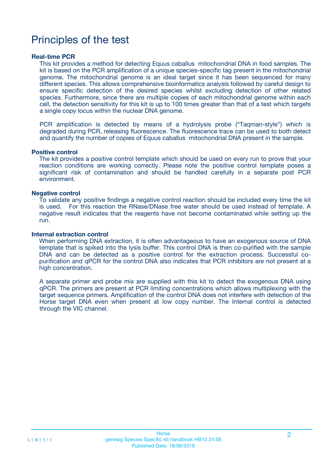# Principles of the test

### **Real-time PCR**

This kit provides a method for detecting Equus caballus mitochondrial DNA in food samples. The kit is based on the PCR amplification of a unique species-specific tag present in the mitochondrial genome. The mitochondrial genome is an ideal target since it has been sequenced for many different species. This allows comprehensive bioinformatics analysis followed by careful design to ensure specific detection of the desired species whilst excluding detection of other related species. Furthermore, since there are multiple copies of each mitochondrial genome within each cell, the detection sensitivity for this kit is up to 100 times greater than that of a test which targets a single copy locus within the nuclear DNA genome.

PCR amplification is detected by means of a hydrolysis probe ("Taqman-style") which is degraded during PCR, releasing fluorescence. The fluorescence trace can be used to both detect and quantify the number of copies of Equus caballus mitochondrial DNA present in the sample.

### **Positive control**

The kit provides a positive control template which should be used on every run to prove that your reaction conditions are working correctly. Please note the positive control template poses a significant risk of contamination and should be handled carefully in a separate post PCR environment.

### **Negative control**

To validate any positive findings a negative control reaction should be included every time the kit is used. For this reaction the RNase/DNase free water should be used instead of template. A negative result indicates that the reagents have not become contaminated while setting up the run.

#### **Internal extraction control**

When performing DNA extraction, it is often advantageous to have an exogenous source of DNA template that is spiked into the lysis buffer. This control DNA is then co-purified with the sample DNA and can be detected as a positive control for the extraction process. Successful copurification and qPCR for the control DNA also indicates that PCR inhibitors are not present at a high concentration.

A separate primer and probe mix are supplied with this kit to detect the exogenous DNA using qPCR. The primers are present at PCR limiting concentrations which allows multiplexing with the target sequence primers. Amplification of the control DNA does not interfere with detection of the Horse target DNA even when present at low copy number. The Internal control is detected through the VIC channel.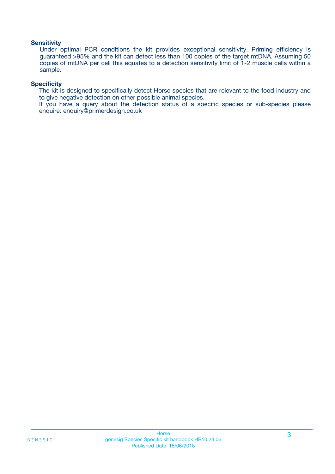### **Sensitivity**

Under optimal PCR conditions the kit provides exceptional sensitivity. Priming efficiency is guaranteed >95% and the kit can detect less than 100 copies of the target mtDNA. Assuming 50 copies of mtDNA per cell this equates to a detection sensitivity limit of 1-2 muscle cells within a sample.

### **Specificity**

The kit is designed to specifically detect Horse species that are relevant to the food industry and to give negative detection on other possible animal species.

If you have a query about the detection status of a specific species or sub-species please enquire: enquiry@primerdesign.co.uk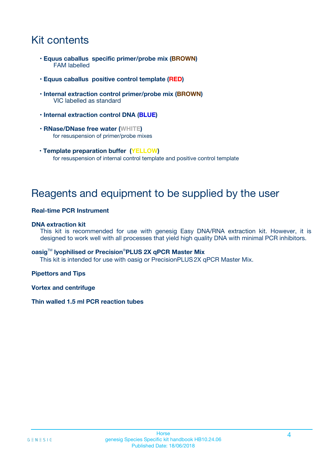# Kit contents

- **Equus caballus specific primer/probe mix (BROWN)** FAM labelled
- **Equus caballus positive control template (RED)**
- **Internal extraction control primer/probe mix (BROWN)** VIC labelled as standard
- **Internal extraction control DNA (BLUE)**
- **RNase/DNase free water (WHITE)** for resuspension of primer/probe mixes
- **Template preparation buffer (YELLOW)** for resuspension of internal control template and positive control template

# Reagents and equipment to be supplied by the user

### **Real-time PCR Instrument**

### **DNA extraction kit**

This kit is recommended for use with genesig Easy DNA/RNA extraction kit. However, it is designed to work well with all processes that yield high quality DNA with minimal PCR inhibitors.

### **oasig**TM **lyophilised or Precision**®**PLUS 2X qPCR Master Mix**

This kit is intended for use with oasig or PrecisionPLUS2X qPCR Master Mix.

### **Pipettors and Tips**

**Vortex and centrifuge**

### **Thin walled 1.5 ml PCR reaction tubes**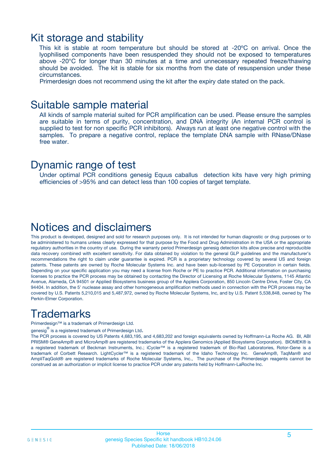### Kit storage and stability

This kit is stable at room temperature but should be stored at -20ºC on arrival. Once the lyophilised components have been resuspended they should not be exposed to temperatures above -20°C for longer than 30 minutes at a time and unnecessary repeated freeze/thawing should be avoided. The kit is stable for six months from the date of resuspension under these circumstances.

Primerdesign does not recommend using the kit after the expiry date stated on the pack.

### Suitable sample material

All kinds of sample material suited for PCR amplification can be used. Please ensure the samples are suitable in terms of purity, concentration, and DNA integrity (An internal PCR control is supplied to test for non specific PCR inhibitors). Always run at least one negative control with the samples. To prepare a negative control, replace the template DNA sample with RNase/DNase free water.

### Dynamic range of test

Under optimal PCR conditions genesig Equus caballus detection kits have very high priming efficiencies of >95% and can detect less than 100 copies of target template.

## Notices and disclaimers

This product is developed, designed and sold for research purposes only. It is not intended for human diagnostic or drug purposes or to be administered to humans unless clearly expressed for that purpose by the Food and Drug Administration in the USA or the appropriate regulatory authorities in the country of use. During the warranty period Primerdesign genesig detection kits allow precise and reproducible data recovery combined with excellent sensitivity. For data obtained by violation to the general GLP guidelines and the manufacturer's recommendations the right to claim under guarantee is expired. PCR is a proprietary technology covered by several US and foreign patents. These patents are owned by Roche Molecular Systems Inc. and have been sub-licensed by PE Corporation in certain fields. Depending on your specific application you may need a license from Roche or PE to practice PCR. Additional information on purchasing licenses to practice the PCR process may be obtained by contacting the Director of Licensing at Roche Molecular Systems, 1145 Atlantic Avenue, Alameda, CA 94501 or Applied Biosystems business group of the Applera Corporation, 850 Lincoln Centre Drive, Foster City, CA 94404. In addition, the 5' nuclease assay and other homogeneous amplification methods used in connection with the PCR process may be covered by U.S. Patents 5,210,015 and 5,487,972, owned by Roche Molecular Systems, Inc, and by U.S. Patent 5,538,848, owned by The Perkin-Elmer Corporation.

# **Trademarks**

Primerdesign™ is a trademark of Primerdesign Ltd.

genesig $^\circledR$  is a registered trademark of Primerdesign Ltd.

The PCR process is covered by US Patents 4,683,195, and 4,683,202 and foreign equivalents owned by Hoffmann-La Roche AG. BI, ABI PRISM® GeneAmp® and MicroAmp® are registered trademarks of the Applera Genomics (Applied Biosystems Corporation). BIOMEK® is a registered trademark of Beckman Instruments, Inc.; iCycler™ is a registered trademark of Bio-Rad Laboratories, Rotor-Gene is a trademark of Corbett Research. LightCycler™ is a registered trademark of the Idaho Technology Inc. GeneAmp®, TaqMan® and AmpliTaqGold® are registered trademarks of Roche Molecular Systems, Inc., The purchase of the Primerdesign reagents cannot be construed as an authorization or implicit license to practice PCR under any patents held by Hoffmann-LaRoche Inc.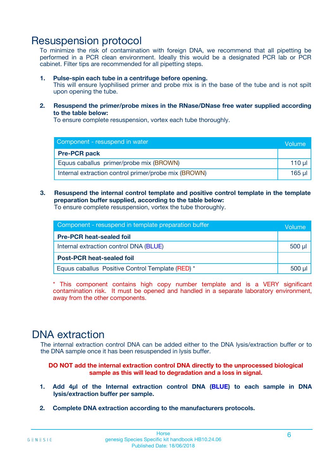# Resuspension protocol

To minimize the risk of contamination with foreign DNA, we recommend that all pipetting be performed in a PCR clean environment. Ideally this would be a designated PCR lab or PCR cabinet. Filter tips are recommended for all pipetting steps.

### **1. Pulse-spin each tube in a centrifuge before opening.**

This will ensure lyophilised primer and probe mix is in the base of the tube and is not spilt upon opening the tube.

**2. Resuspend the primer/probe mixes in the RNase/DNase free water supplied according to the table below:**

To ensure complete resuspension, vortex each tube thoroughly.

| Component - resuspend in water                       |         |  |
|------------------------------------------------------|---------|--|
| <b>Pre-PCR pack</b>                                  |         |  |
| Equus caballus primer/probe mix (BROWN)              | $110$ µ |  |
| Internal extraction control primer/probe mix (BROWN) | 165 ul  |  |

### **3. Resuspend the internal control template and positive control template in the template preparation buffer supplied, according to the table below:**

To ensure complete resuspension, vortex the tube thoroughly.

| Component - resuspend in template preparation buffer |             |  |
|------------------------------------------------------|-------------|--|
| <b>Pre-PCR heat-sealed foil</b>                      |             |  |
| Internal extraction control DNA (BLUE)               | $500$ $\mu$ |  |
| <b>Post-PCR heat-sealed foil</b>                     |             |  |
| Equus caballus Positive Control Template (RED) *     |             |  |

\* This component contains high copy number template and is a VERY significant contamination risk. It must be opened and handled in a separate laboratory environment, away from the other components.

# DNA extraction

The internal extraction control DNA can be added either to the DNA lysis/extraction buffer or to the DNA sample once it has been resuspended in lysis buffer.

**DO NOT add the internal extraction control DNA directly to the unprocessed biological sample as this will lead to degradation and a loss in signal.**

- **1. Add 4µl of the Internal extraction control DNA (BLUE) to each sample in DNA lysis/extraction buffer per sample.**
- **2. Complete DNA extraction according to the manufacturers protocols.**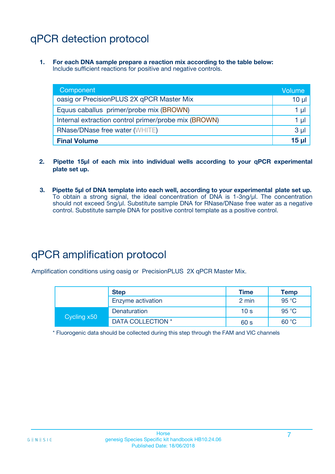# qPCR detection protocol

**1. For each DNA sample prepare a reaction mix according to the table below:** Include sufficient reactions for positive and negative controls.

| Component                                            | Volume         |
|------------------------------------------------------|----------------|
| oasig or PrecisionPLUS 2X qPCR Master Mix            | $10 \mu$       |
| Equus caballus primer/probe mix (BROWN)              | 1 µl           |
| Internal extraction control primer/probe mix (BROWN) | 1 µl           |
| <b>RNase/DNase free water (WHITE)</b>                | 3 <sub>µ</sub> |
| <b>Final Volume</b>                                  | 15 ul          |

- **2. Pipette 15µl of each mix into individual wells according to your qPCR experimental plate set up.**
- **3. Pipette 5µl of DNA template into each well, according to your experimental plate set up.** To obtain a strong signal, the ideal concentration of DNA is 1-3ng/µl. The concentration should not exceed 5ng/µl. Substitute sample DNA for RNase/DNase free water as a negative control. Substitute sample DNA for positive control template as a positive control.

# qPCR amplification protocol

Amplification conditions using oasig or PrecisionPLUS 2X qPCR Master Mix.

|             | <b>Step</b>       | <b>Time</b>     | Temp           |
|-------------|-------------------|-----------------|----------------|
|             | Enzyme activation | 2 min           | 95 °C          |
| Cycling x50 | Denaturation      | 10 <sub>s</sub> | $95^{\circ}$ C |
|             | DATA COLLECTION * | 60 s            | 60 °C          |

\* Fluorogenic data should be collected during this step through the FAM and VIC channels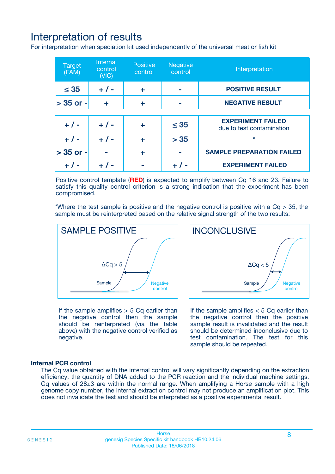# Interpretation of results

For interpretation when speciation kit used independently of the universal meat or fish kit

| <b>Target</b><br>(FAM) | <b>Internal</b><br>control<br>(VIC) | <b>Positive</b><br>control | <b>Negative</b><br>control | Interpretation                                        |
|------------------------|-------------------------------------|----------------------------|----------------------------|-------------------------------------------------------|
| $\leq 35$              | $+ 1 -$                             | ÷                          |                            | <b>POSITIVE RESULT</b>                                |
| $> 35$ or -            | ÷                                   | ÷                          |                            | <b>NEGATIVE RESULT</b>                                |
|                        |                                     |                            |                            |                                                       |
| $+ 1 -$                | $+ 1 -$                             | ÷                          | $\leq 35$                  | <b>EXPERIMENT FAILED</b><br>due to test contamination |
| $+ 1 -$                | $+ 1 -$                             | ٠                          | > 35                       | $\star$                                               |
| $> 35$ or -            |                                     | ÷                          |                            | <b>SAMPLE PREPARATION FAILED</b>                      |
|                        |                                     |                            |                            | <b>EXPERIMENT FAILED</b>                              |

Positive control template (**RED**) is expected to amplify between Cq 16 and 23. Failure to satisfy this quality control criterion is a strong indication that the experiment has been compromised.

\*Where the test sample is positive and the negative control is positive with a  $Ca > 35$ , the sample must be reinterpreted based on the relative signal strength of the two results:



If the sample amplifies  $> 5$  Cq earlier than the negative control then the sample should be reinterpreted (via the table above) with the negative control verified as negative.

Sample  $/$  / Negative control  $\Delta$ Ca < 5 **INCONCLUSIVE** 

If the sample amplifies  $< 5$  Cq earlier than the negative control then the positive sample result is invalidated and the result should be determined inconclusive due to test contamination. The test for this sample should be repeated.

### **Internal PCR control**

The Cq value obtained with the internal control will vary significantly depending on the extraction efficiency, the quantity of DNA added to the PCR reaction and the individual machine settings. Cq values of  $28\pm3$  are within the normal range. When amplifying a Horse sample with a high genome copy number, the internal extraction control may not produce an amplification plot. This does not invalidate the test and should be interpreted as a positive experimental result.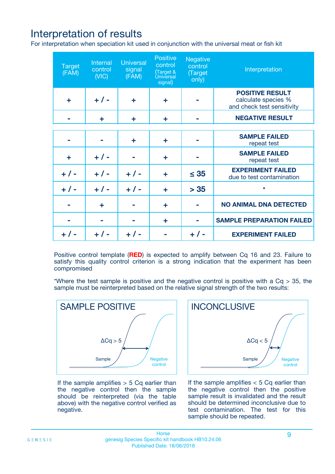# Interpretation of results

For interpretation when speciation kit used in conjunction with the universal meat or fish kit

| <b>Target</b><br>(FAM) | Internal<br>control<br>(NIC) | <b>Universal</b><br>signal<br>(FAM) | Positive<br>control<br>(Target &<br><b>Universal</b><br>signal) | <b>Negative</b><br>control<br>(Target<br>only) | Interpretation                                                              |
|------------------------|------------------------------|-------------------------------------|-----------------------------------------------------------------|------------------------------------------------|-----------------------------------------------------------------------------|
| ÷                      | $+$ / -                      | ÷                                   | ÷                                                               |                                                | <b>POSITIVE RESULT</b><br>calculate species %<br>and check test sensitivity |
|                        | ٠                            | ÷                                   | ÷                                                               |                                                | <b>NEGATIVE RESULT</b>                                                      |
|                        |                              |                                     |                                                                 |                                                |                                                                             |
|                        |                              | ÷                                   | ÷                                                               |                                                | <b>SAMPLE FAILED</b><br>repeat test                                         |
| ÷                      | $+ 1 -$                      |                                     | ÷                                                               |                                                | <b>SAMPLE FAILED</b><br>repeat test                                         |
| $+/-$                  | $+$ / -                      | $+/-$                               | ÷                                                               | $\leq 35$                                      | <b>EXPERIMENT FAILED</b><br>due to test contamination                       |
| $+ 1 -$                | $+$ / -                      | $+ 1 -$                             | ÷                                                               | > 35                                           | $\star$                                                                     |
|                        | ÷                            |                                     | ÷                                                               |                                                | <b>NO ANIMAL DNA DETECTED</b>                                               |
|                        |                              |                                     | ÷                                                               |                                                | <b>SAMPLE PREPARATION FAILED</b>                                            |
| $+  / -$               | $+ 1 -$                      |                                     |                                                                 |                                                | <b>EXPERIMENT FAILED</b>                                                    |

Positive control template (**RED**) is expected to amplify between Cq 16 and 23. Failure to satisfy this quality control criterion is a strong indication that the experiment has been compromised

\*Where the test sample is positive and the negative control is positive with a  $Cq > 35$ , the sample must be reinterpreted based on the relative signal strength of the two results:



If the sample amplifies  $> 5$  Cq earlier than the negative control then the sample should be reinterpreted (via the table above) with the negative control verified as negative.



If the sample amplifies  $< 5$  Cq earlier than the negative control then the positive sample result is invalidated and the result should be determined inconclusive due to test contamination. The test for this sample should be repeated.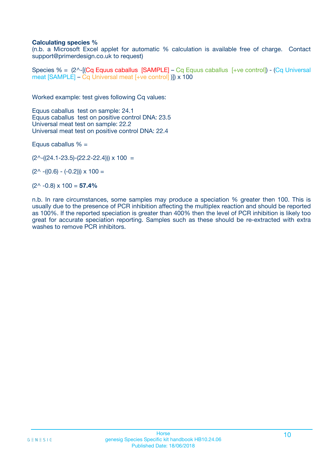### **Calculating species %**

(n.b. a Microsoft Excel applet for automatic % calculation is available free of charge. Contact support@primerdesign.co.uk to request)

Species % = (2^-[(Cq Equus caballus [SAMPLE] – Cq Equus caballus [+ve control]) - (Cq Universal meat [SAMPLE] – Cq Universal meat [+ve control] )]) x 100

Worked example: test gives following Cq values:

Equus caballus test on sample: 24.1 Equus caballus test on positive control DNA: 23.5 Universal meat test on sample: 22.2 Universal meat test on positive control DNA: 22.4

Equus caballus  $% =$ 

 $(2^{\wedge}-(24.1-23.5)-(22.2-22.4))) \times 100 =$ 

 $(2^{\wedge}$  -((0.6) - (-0.2)))  $\times$  100 =

(2^ -0.8) x 100 = **57.4%**

n.b. In rare circumstances, some samples may produce a speciation % greater then 100. This is usually due to the presence of PCR inhibition affecting the multiplex reaction and should be reported as 100%. If the reported speciation is greater than 400% then the level of PCR inhibition is likely too great for accurate speciation reporting. Samples such as these should be re-extracted with extra washes to remove PCR inhibitors.